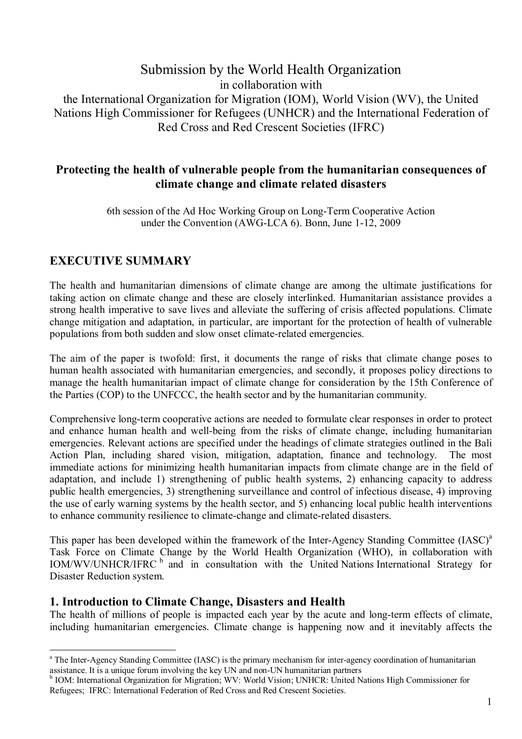# Submission by the World Health Organization in collaboration with the International Organization for Migration (IOM), World Vision (WV), the United Nations High Commissioner for Refugees (UNHCR) and the International Federation of Red Cross and Red Crescent Societies (IFRC)

### **Protecting the health of vulnerable people from the humanitarian consequences of climate change and climate related disasters**

6th session of the Ad Hoc Working Group on Long-Term Cooperative Action under the Convention (AWG-LCA 6). Bonn, June 1-12, 2009

## **EXECUTIVE SUMMARY**

 $\overline{a}$ 

The health and humanitarian dimensions of climate change are among the ultimate justifications for taking action on climate change and these are closely interlinked. Humanitarian assistance provides a strong health imperative to save lives and alleviate the suffering of crisis affected populations. Climate change mitigation and adaptation, in particular, are important for the protection of health of vulnerable populations from both sudden and slow onset climate-related emergencies.

The aim of the paper is twofold: first, it documents the range of risks that climate change poses to human health associated with humanitarian emergencies, and secondly, it proposes policy directions to manage the health humanitarian impact of climate change for consideration by the 15th Conference of the Parties (COP) to the UNFCCC, the health sector and by the humanitarian community.

Comprehensive long-term cooperative actions are needed to formulate clear responses in order to protect and enhance human health and well-being from the risks of climate change, including humanitarian emergencies. Relevant actions are specified under the headings of climate strategies outlined in the Bali Action Plan, including shared vision, mitigation, adaptation, finance and technology. The most immediate actions for minimizing health humanitarian impacts from climate change are in the field of adaptation, and include 1) strengthening of public health systems, 2) enhancing capacity to address public health emergencies, 3) strengthening surveillance and control of infectious disease, 4) improving the use of early warning systems by the health sector, and 5) enhancing local public health interventions to enhance community resilience to climate-change and climate-related disasters.

This paper has been developed within the framework of the Inter-Agency Standing Committee (IASC)<sup>a</sup> Task Force on Climate Change by the World Health Organization (WHO), in collaboration with IOM/WV/UNHCR/IFRC <sup>b</sup> and in consultation with the United Nations International Strategy for Disaster Reduction system.

### **1. Introduction to Climate Change, Disasters and Health**

The health of millions of people is impacted each year by the acute and long-term effects of climate, including humanitarian emergencies. Climate change is happening now and it inevitably affects the

<sup>&</sup>lt;sup>a</sup> The Inter-Agency Standing Committee (IASC) is the primary mechanism for inter-agency coordination of humanitarian assistance. It is a unique forum involving the key UN and non-UN humanitarian partners

<sup>&</sup>lt;sup>b</sup> IOM: International Organization for Migration; WV: World Vision; UNHCR: United Nations High Commissioner for Refugees; IFRC: International Federation of Red Cross and Red Crescent Societies.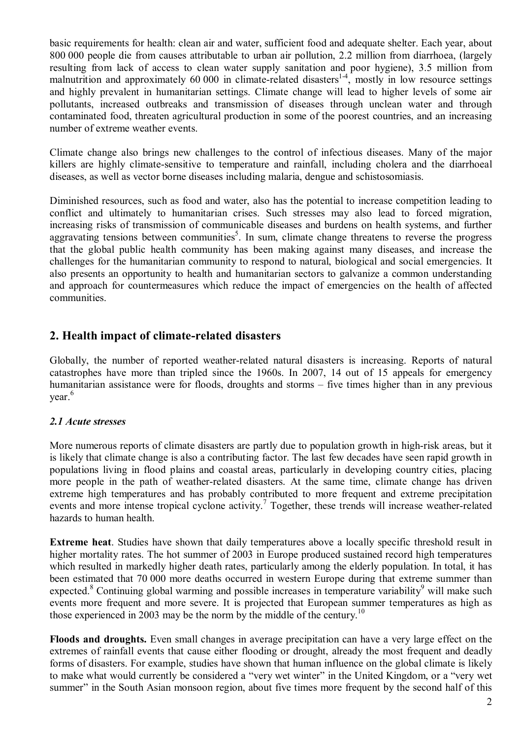basic requirements for health: clean air and water, sufficient food and adequate shelter. Each year, about 800 000 people die from causes attributable to urban air pollution, 2.2 million from diarrhoea, (largely resulting from lack of access to clean water supply sanitation and poor hygiene), 3.5 million from malnutrition and approximately 60 000 in climate-related disasters<sup>14</sup>, mostly in low resource settings and highly prevalent in humanitarian settings. Climate change will lead to higher levels of some air pollutants, increased outbreaks and transmission of diseases through unclean water and through contaminated food, threaten agricultural production in some of the poorest countries, and an increasing number of extreme weather events.

Climate change also brings new challenges to the control of infectious diseases. Many of the major killers are highly climate-sensitive to temperature and rainfall, including cholera and the diarrhoeal diseases, as well as vector borne diseases including malaria, dengue and schistosomiasis.

Diminished resources, such as food and water, also has the potential to increase competition leading to conflict and ultimately to humanitarian crises. Such stresses may also lead to forced migration, increasing risks of transmission of communicable diseases and burdens on health systems, and further aggravating tensions between communities<sup>5</sup>. In sum, climate change threatens to reverse the progress that the global public health community has been making against many diseases, and increase the challenges for the humanitarian community to respond to natural, biological and social emergencies. It also presents an opportunity to health and humanitarian sectors to galvanize a common understanding and approach for countermeasures which reduce the impact of emergencies on the health of affected communities.

### **2. Health impact of climate-related disasters**

Globally, the number of reported weather-related natural disasters is increasing. Reports of natural catastrophes have more than tripled since the 1960s. In 2007, 14 out of 15 appeals for emergency humanitarian assistance were for floods, droughts and storms – five times higher than in any previous year.<sup>6</sup>

### *2.1 Acute stresses*

More numerous reports of climate disasters are partly due to population growth in high-risk areas, but it is likely that climate change is also a contributing factor. The last few decades have seen rapid growth in populations living in flood plains and coastal areas, particularly in developing country cities, placing more people in the path of weather-related disasters. At the same time, climate change has driven extreme high temperatures and has probably contributed to more frequent and extreme precipitation events and more intense tropical cyclone activity.<sup>7</sup> Together, these trends will increase weather-related hazards to human health.

**Extreme heat**. Studies have shown that daily temperatures above a locally specific threshold result in higher mortality rates. The hot summer of 2003 in Europe produced sustained record high temperatures which resulted in markedly higher death rates, particularly among the elderly population. In total, it has been estimated that 70 000 more deaths occurred in western Europe during that extreme summer than expected.<sup>8</sup> Continuing global warming and possible increases in temperature variability<sup>9</sup> will make such events more frequent and more severe. It is projected that European summer temperatures as high as those experienced in 2003 may be the norm by the middle of the century.<sup>10</sup>

**Floods and droughts.** Even small changes in average precipitation can have a very large effect on the extremes of rainfall events that cause either flooding or drought, already the most frequent and deadly forms of disasters. For example, studies have shown that human influence on the global climate is likely to make what would currently be considered a "very wet winter" in the United Kingdom, or a "very wet summer" in the South Asian monsoon region, about five times more frequent by the second half of this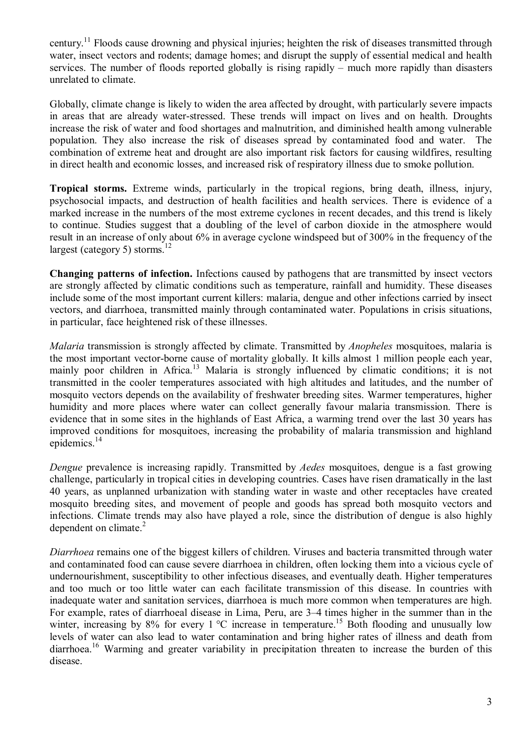century.<sup>11</sup> Floods cause drowning and physical injuries; heighten the risk of diseases transmitted through water, insect vectors and rodents; damage homes; and disrupt the supply of essential medical and health services. The number of floods reported globally is rising rapidly  $-$  much more rapidly than disasters unrelated to climate.

Globally, climate change is likely to widen the area affected by drought, with particularly severe impacts in areas that are already water-stressed. These trends will impact on lives and on health. Droughts increase the risk of water and food shortages and malnutrition, and diminished health among vulnerable population. They also increase the risk of diseases spread by contaminated food and water. The combination of extreme heat and drought are also important risk factors for causing wildfires, resulting in direct health and economic losses, and increased risk of respiratory illness due to smoke pollution.

**Tropical storms.** Extreme winds, particularly in the tropical regions, bring death, illness, injury, psychosocial impacts, and destruction of health facilities and health services. There is evidence of a marked increase in the numbers of the most extreme cyclones in recent decades, and this trend is likely to continue. Studies suggest that a doubling of the level of carbon dioxide in the atmosphere would result in an increase of only about 6% in average cyclone windspeed but of 300% in the frequency of the largest (category 5) storms.<sup>12</sup>

**Changing patterns of infection.** Infections caused by pathogens that are transmitted by insect vectors are strongly affected by climatic conditions such as temperature, rainfall and humidity. These diseases include some of the most important current killers: malaria, dengue and other infections carried by insect vectors, and diarrhoea, transmitted mainly through contaminated water. Populations in crisis situations, in particular, face heightened risk of these illnesses.

*Malaria* transmission is strongly affected by climate. Transmitted by *Anopheles* mosquitoes, malaria is the most important vector-borne cause of mortality globally. It kills almost 1 million people each year, mainly poor children in Africa.<sup>13</sup> Malaria is strongly influenced by climatic conditions; it is not transmitted in the cooler temperatures associated with high altitudes and latitudes, and the number of mosquito vectors depends on the availability of freshwater breeding sites. Warmer temperatures, higher humidity and more places where water can collect generally favour malaria transmission. There is evidence that in some sites in the highlands of East Africa, a warming trend over the last 30 years has improved conditions for mosquitoes, increasing the probability of malaria transmission and highland epidemics.<sup>14</sup>

*Dengue* prevalence is increasing rapidly. Transmitted by *Aedes* mosquitoes, dengue is a fast growing challenge, particularly in tropical cities in developing countries. Cases have risen dramatically in the last 40 years, as unplanned urbanization with standing water in waste and other receptacles have created mosquito breeding sites, and movement of people and goods has spread both mosquito vectors and infections. Climate trends may also have played a role, since the distribution of dengue is also highly dependent on climate. $2$ 

*Diarrhoea* remains one of the biggest killers of children. Viruses and bacteria transmitted through water and contaminated food can cause severe diarrhoea in children, often locking them into a vicious cycle of undernourishment, susceptibility to other infectious diseases, and eventually death. Higher temperatures and too much or too little water can each facilitate transmission of this disease. In countries with inadequate water and sanitation services, diarrhoea is much more common when temperatures are high. For example, rates of diarrhoeal disease in Lima, Peru, are 3–4 times higher in the summer than in the winter, increasing by 8% for every 1  $^{\circ}$ C increase in temperature.<sup>15</sup> Both flooding and unusually low levels of water can also lead to water contamination and bring higher rates of illness and death from diarrhoea.<sup>16</sup> Warming and greater variability in precipitation threaten to increase the burden of this disease.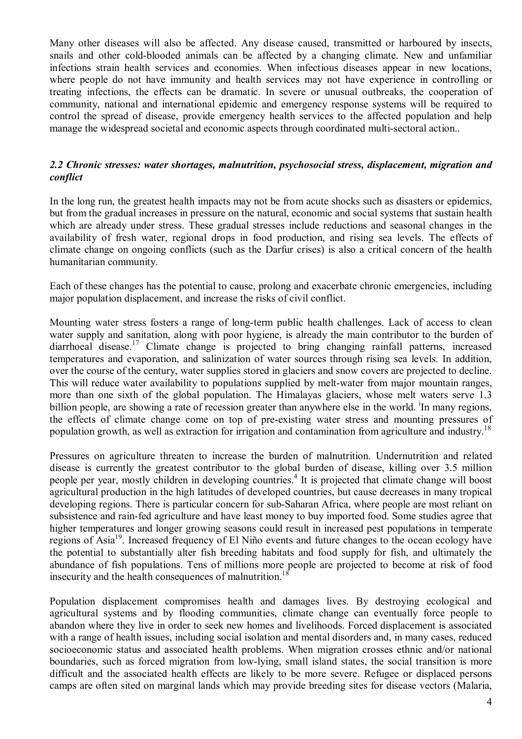Many other diseases will also be affected. Any disease caused, transmitted or harboured by insects, snails and other cold-blooded animals can be affected by a changing climate. New and unfamiliar infections strain health services and economies. When infectious diseases appear in new locations, where people do not have immunity and health services may not have experience in controlling or treating infections, the effects can be dramatic. In severe or unusual outbreaks, the cooperation of community, national and international epidemic and emergency response systems will be required to control the spread of disease, provide emergency health services to the affected population and help manage the widespread societal and economic aspects through coordinated multi-sectoral action..

### *2.2 Chronic stresses: water shortages, malnutrition, psychosocial stress, displacement, migration and conflict*

In the long run, the greatest health impacts may not be from acute shocks such as disasters or epidemics, but from the gradual increases in pressure on the natural, economic and social systems that sustain health which are already under stress. These gradual stresses include reductions and seasonal changes in the availability of fresh water, regional drops in food production, and rising sea levels. The effects of climate change on ongoing conflicts (such as the Darfur crises) is also a critical concern of the health humanitarian community.

Each of these changes has the potential to cause, prolong and exacerbate chronic emergencies, including major population displacement, and increase the risks of civil conflict.

Mounting water stress fosters a range of long-term public health challenges. Lack of access to clean water supply and sanitation, along with poor hygiene, is already the main contributor to the burden of diarrhoeal disease.<sup>17</sup> Climate change is projected to bring changing rainfall patterns, increased temperatures and evaporation, and salinization of water sources through rising sea levels. In addition, over the course of the century, water supplies stored in glaciers and snow covers are projected to decline. This will reduce water availability to populations supplied by melt-water from major mountain ranges, more than one sixth of the global population. The Himalayas glaciers, whose melt waters serve 1.3 billion people, are showing a rate of recession greater than anywhere else in the world. <sup>i</sup>In many regions, the effects of climate change come on top of pre-existing water stress and mounting pressures of population growth, as well as extraction for irrigation and contamination from agriculture and industry.<sup>18</sup>

Pressures on agriculture threaten to increase the burden of malnutrition. Undernutrition and related disease is currently the greatest contributor to the global burden of disease, killing over 3.5 million people per year, mostly children in developing countries.<sup>4</sup> It is projected that climate change will boost agricultural production in the high latitudes of developed countries, but cause decreases in many tropical developing regions. There is particular concern for sub-Saharan Africa, where people are most reliant on subsistence and rain-fed agriculture and have least money to buy imported food. Some studies agree that higher temperatures and longer growing seasons could result in increased pest populations in temperate regions of Asia<sup>19</sup>. Increased frequency of El Niño events and future changes to the ocean ecology have the potential to substantially alter fish breeding habitats and food supply for fish, and ultimately the abundance of fish populations. Tens of millions more people are projected to become at risk of food insecurity and the health consequences of malnutrition.<sup>18</sup>

Population displacement compromises health and damages lives. By destroying ecological and agricultural systems and by flooding communities, climate change can eventually force people to abandon where they live in order to seek new homes and livelihoods. Forced displacement is associated with a range of health issues, including social isolation and mental disorders and, in many cases, reduced socioeconomic status and associated health problems. When migration crosses ethnic and/or national boundaries, such as forced migration from low-lying, small island states, the social transition is more difficult and the associated health effects are likely to be more severe. Refugee or displaced persons camps are often sited on marginal lands which may provide breeding sites for disease vectors (Malaria,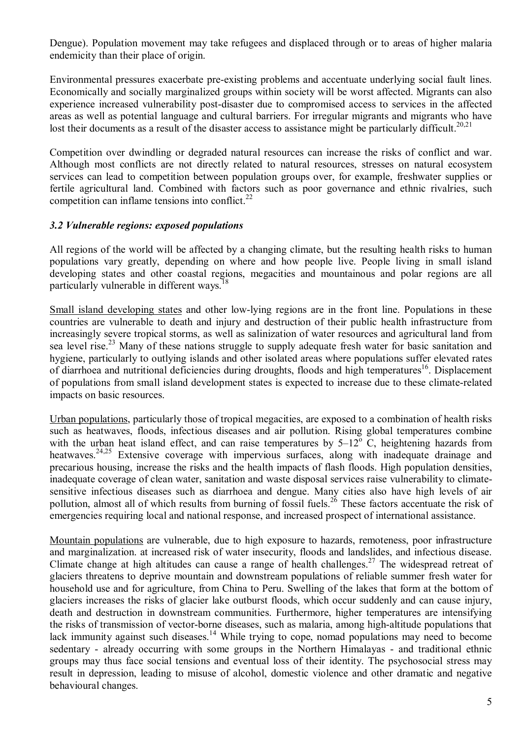Dengue). Population movement may take refugees and displaced through or to areas of higher malaria endemicity than their place of origin.

Environmental pressures exacerbate pre-existing problems and accentuate underlying social fault lines. Economically and socially marginalized groups within society will be worst affected. Migrants can also experience increased vulnerability post-disaster due to compromised access to services in the affected areas as well as potential language and cultural barriers. For irregular migrants and migrants who have lost their documents as a result of the disaster access to assistance might be particularly difficult.<sup>20,21</sup>

Competition over dwindling or degraded natural resources can increase the risks of conflict and war. Although most conflicts are not directly related to natural resources, stresses on natural ecosystem services can lead to competition between population groups over, for example, freshwater supplies or fertile agricultural land. Combined with factors such as poor governance and ethnic rivalries, such competition can inflame tensions into conflict. $^{22}$ 

### *3.2 Vulnerable regions: exposed populations*

All regions of the world will be affected by a changing climate, but the resulting health risks to human populations vary greatly, depending on where and how people live. People living in small island developing states and other coastal regions, megacities and mountainous and polar regions are all particularly vulnerable in different ways.<sup>18</sup>

Small island developing states and other low-lying regions are in the front line. Populations in these countries are vulnerable to death and injury and destruction of their public health infrastructure from increasingly severe tropical storms, as well as salinization of water resources and agricultural land from sea level rise.<sup>23</sup> Many of these nations struggle to supply adequate fresh water for basic sanitation and hygiene, particularly to outlying islands and other isolated areas where populations suffer elevated rates of diarrhoea and nutritional deficiencies during droughts, floods and high temperatures<sup>16</sup>. Displacement of populations from small island development states is expected to increase due to these climate-related impacts on basic resources.

Urban populations, particularly those of tropical megacities, are exposed to a combination of health risks such as heatwaves, floods, infectious diseases and air pollution. Rising global temperatures combine with the urban heat island effect, and can raise temperatures by  $5-12^{\circ}$  C, heightening hazards from heatwaves.<sup>24,25</sup> Extensive coverage with impervious surfaces, along with inadequate drainage and precarious housing, increase the risks and the health impacts of flash floods. High population densities, inadequate coverage of clean water, sanitation and waste disposal services raise vulnerability to climatesensitive infectious diseases such as diarrhoea and dengue. Many cities also have high levels of air pollution, almost all of which results from burning of fossil fuels.<sup>26</sup> These factors accentuate the risk of emergencies requiring local and national response, and increased prospect of international assistance.

Mountain populations are vulnerable, due to high exposure to hazards, remoteness, poor infrastructure and marginalization. at increased risk of water insecurity, floods and landslides, and infectious disease. Climate change at high altitudes can cause a range of health challenges.<sup>27</sup> The widespread retreat of glaciers threatens to deprive mountain and downstream populations of reliable summer fresh water for household use and for agriculture, from China to Peru. Swelling of the lakes that form at the bottom of glaciers increases the risks of glacier lake outburst floods, which occur suddenly and can cause injury, death and destruction in downstream communities. Furthermore, higher temperatures are intensifying the risks of transmission of vector-borne diseases, such as malaria, among high-altitude populations that lack immunity against such diseases.<sup>14</sup> While trying to cope, nomad populations may need to become sedentary - already occurring with some groups in the Northern Himalayas - and traditional ethnic groups may thus face social tensions and eventual loss of their identity. The psychosocial stress may result in depression, leading to misuse of alcohol, domestic violence and other dramatic and negative behavioural changes.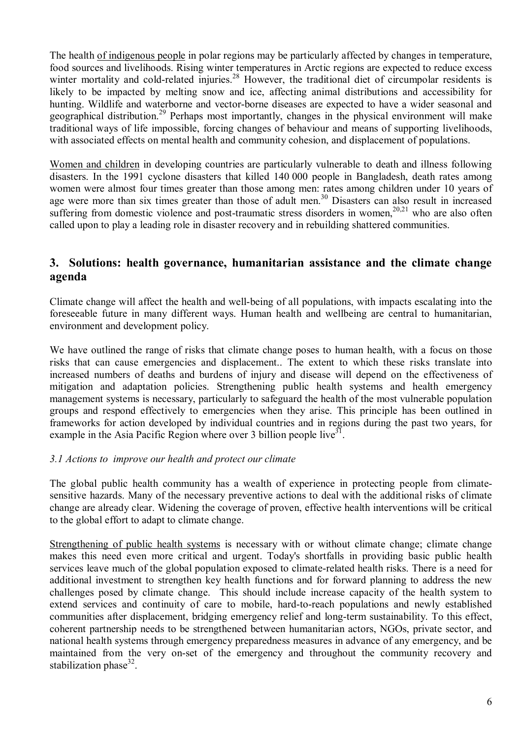The health of indigenous people in polar regions may be particularly affected by changes in temperature, food sources and livelihoods. Rising winter temperatures in Arctic regions are expected to reduce excess winter mortality and cold-related injuries.<sup>28</sup> However, the traditional diet of circumpolar residents is likely to be impacted by melting snow and ice, affecting animal distributions and accessibility for hunting. Wildlife and waterborne and vector-borne diseases are expected to have a wider seasonal and geographical distribution.<sup>29</sup> Perhaps most importantly, changes in the physical environment will make traditional ways of life impossible, forcing changes of behaviour and means of supporting livelihoods, with associated effects on mental health and community cohesion, and displacement of populations.

Women and children in developing countries are particularly vulnerable to death and illness following disasters. In the 1991 cyclone disasters that killed 140 000 people in Bangladesh, death rates among women were almost four times greater than those among men: rates among children under 10 years of age were more than six times greater than those of adult men.<sup>30</sup> Disasters can also result in increased suffering from domestic violence and post-traumatic stress disorders in women,<sup>20,21</sup> who are also often called upon to play a leading role in disaster recovery and in rebuilding shattered communities.

### **3. Solutions: health governance, humanitarian assistance and the climate change agenda**

Climate change will affect the health and well-being of all populations, with impacts escalating into the foreseeable future in many different ways. Human health and wellbeing are central to humanitarian, environment and development policy.

We have outlined the range of risks that climate change poses to human health, with a focus on those risks that can cause emergencies and displacement.. The extent to which these risks translate into increased numbers of deaths and burdens of injury and disease will depend on the effectiveness of mitigation and adaptation policies. Strengthening public health systems and health emergency management systems is necessary, particularly to safeguard the health of the most vulnerable population groups and respond effectively to emergencies when they arise. This principle has been outlined in frameworks for action developed by individual countries and in regions during the past two years, for example in the Asia Pacific Region where over 3 billion people live $3<sup>1</sup>$ .

### *3.1 Actions to improve our health and protect our climate*

The global public health community has a wealth of experience in protecting people from climatesensitive hazards. Many of the necessary preventive actions to deal with the additional risks of climate change are already clear. Widening the coverage of proven, effective health interventions will be critical to the global effort to adapt to climate change.

Strengthening of public health systems is necessary with or without climate change; climate change makes this need even more critical and urgent. Today's shortfalls in providing basic public health services leave much of the global population exposed to climate-related health risks. There is a need for additional investment to strengthen key health functions and for forward planning to address the new challenges posed by climate change. This should include increase capacity of the health system to extend services and continuity of care to mobile, hard-to-reach populations and newly established communities after displacement, bridging emergency relief and long-term sustainability. To this effect, coherent partnership needs to be strengthened between humanitarian actors, NGOs, private sector, and national health systems through emergency preparedness measures in advance of any emergency, and be maintained from the very on-set of the emergency and throughout the community recovery and stabilization phase $32$ .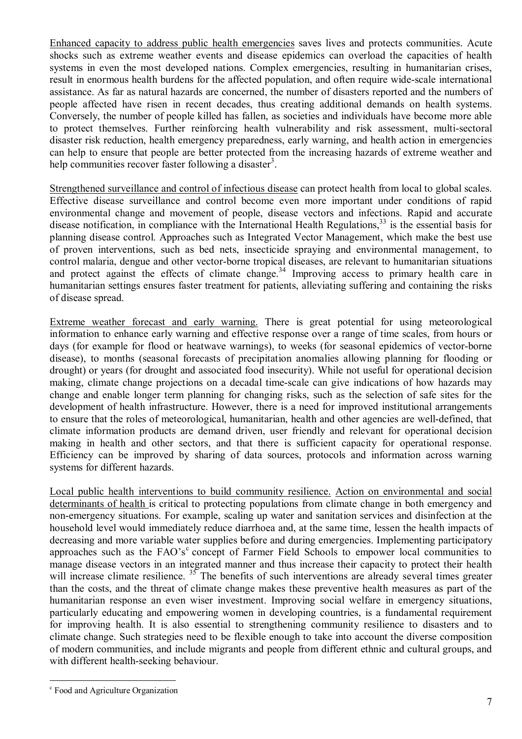Enhanced capacity to address public health emergencies saves lives and protects communities. Acute shocks such as extreme weather events and disease epidemics can overload the capacities of health systems in even the most developed nations. Complex emergencies, resulting in humanitarian crises, result in enormous health burdens for the affected population, and often require wide-scale international assistance. As far as natural hazards are concerned, the number of disasters reported and the numbers of people affected have risen in recent decades, thus creating additional demands on health systems. Conversely, the number of people killed has fallen, as societies and individuals have become more able to protect themselves. Further reinforcing health vulnerability and risk assessment, multi-sectoral disaster risk reduction, health emergency preparedness, early warning, and health action in emergencies can help to ensure that people are better protected from the increasing hazards of extreme weather and help communities recover faster following a disaster<sup>3</sup>.

Strengthened surveillance and control of infectious disease can protect health from local to global scales. Effective disease surveillance and control become even more important under conditions of rapid environmental change and movement of people, disease vectors and infections. Rapid and accurate disease notification, in compliance with the International Health Regulations, $33$  is the essential basis for planning disease control. Approaches such as Integrated Vector Management, which make the best use of proven interventions, such as bed nets, insecticide spraying and environmental management, to control malaria, dengue and other vector-borne tropical diseases, are relevant to humanitarian situations and protect against the effects of climate change.<sup>34</sup> Improving access to primary health care in humanitarian settings ensures faster treatment for patients, alleviating suffering and containing the risks of disease spread.

Extreme weather forecast and early warning. There is great potential for using meteorological information to enhance early warning and effective response over a range of time scales, from hours or days (for example for flood or heatwave warnings), to weeks (for seasonal epidemics of vector-borne disease), to months (seasonal forecasts of precipitation anomalies allowing planning for flooding or drought) or years (for drought and associated food insecurity). While not useful for operational decision making, climate change projections on a decadal time-scale can give indications of how hazards may change and enable longer term planning for changing risks, such as the selection of safe sites for the development of health infrastructure. However, there is a need for improved institutional arrangements to ensure that the roles of meteorological, humanitarian, health and other agencies are well-defined, that climate information products are demand driven, user friendly and relevant for operational decision making in health and other sectors, and that there is sufficient capacity for operational response. Efficiency can be improved by sharing of data sources, protocols and information across warning systems for different hazards.

Local public health interventions to build community resilience. Action on environmental and social determinants of health is critical to protecting populations from climate change in both emergency and non-emergency situations. For example, scaling up water and sanitation services and disinfection at the household level would immediately reduce diarrhoea and, at the same time, lessen the health impacts of decreasing and more variable water supplies before and during emergencies. Implementing participatory approaches such as the FAO's<sup>c</sup> concept of Farmer Field Schools to empower local communities to manage disease vectors in an integrated manner and thus increase their capacity to protect their health will increase climate resilience.  $35$  The benefits of such interventions are already several times greater than the costs, and the threat of climate change makes these preventive health measures as part of the humanitarian response an even wiser investment. Improving social welfare in emergency situations, particularly educating and empowering women in developing countries, is a fundamental requirement for improving health. It is also essential to strengthening community resilience to disasters and to climate change. Such strategies need to be flexible enough to take into account the diverse composition of modern communities, and include migrants and people from different ethnic and cultural groups, and with different health-seeking behaviour.

 $\overline{a}$ 

<sup>&</sup>lt;sup>c</sup> Food and Agriculture Organization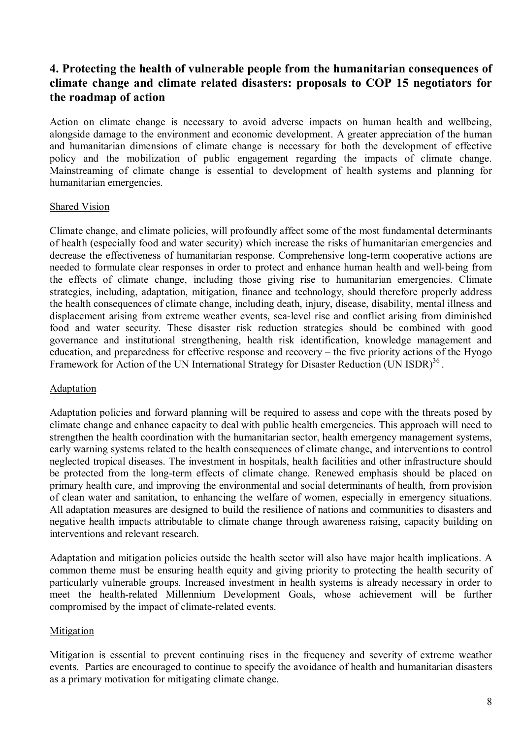## **4. Protecting the health of vulnerable people from the humanitarian consequences of climate change and climate related disasters: proposals to COP 15 negotiators for the roadmap of action**

Action on climate change is necessary to avoid adverse impacts on human health and wellbeing, alongside damage to the environment and economic development. A greater appreciation of the human and humanitarian dimensions of climate change is necessary for both the development of effective policy and the mobilization of public engagement regarding the impacts of climate change. Mainstreaming of climate change is essential to development of health systems and planning for humanitarian emergencies.

#### Shared Vision

Climate change, and climate policies, will profoundly affect some of the most fundamental determinants of health (especially food and water security) which increase the risks of humanitarian emergencies and decrease the effectiveness of humanitarian response. Comprehensive long-term cooperative actions are needed to formulate clear responses in order to protect and enhance human health and well-being from the effects of climate change, including those giving rise to humanitarian emergencies. Climate strategies, including, adaptation, mitigation, finance and technology, should therefore properly address the health consequences of climate change, including death, injury, disease, disability, mental illness and displacement arising from extreme weather events, sea-level rise and conflict arising from diminished food and water security. These disaster risk reduction strategies should be combined with good governance and institutional strengthening, health risk identification, knowledge management and education, and preparedness for effective response and recovery  $-$  the five priority actions of the Hyogo Framework for Action of the UN International Strategy for Disaster Reduction (UN ISDR)<sup>36</sup>.

### Adaptation

Adaptation policies and forward planning will be required to assess and cope with the threats posed by climate change and enhance capacity to deal with public health emergencies. This approach will need to strengthen the health coordination with the humanitarian sector, health emergency management systems, early warning systems related to the health consequences of climate change, and interventions to control neglected tropical diseases. The investment in hospitals, health facilities and other infrastructure should be protected from the long-term effects of climate change. Renewed emphasis should be placed on primary health care, and improving the environmental and social determinants of health, from provision of clean water and sanitation, to enhancing the welfare of women, especially in emergency situations. All adaptation measures are designed to build the resilience of nations and communities to disasters and negative health impacts attributable to climate change through awareness raising, capacity building on interventions and relevant research.

Adaptation and mitigation policies outside the health sector will also have major health implications. A common theme must be ensuring health equity and giving priority to protecting the health security of particularly vulnerable groups. Increased investment in health systems is already necessary in order to meet the health-related Millennium Development Goals, whose achievement will be further compromised by the impact of climate-related events.

### Mitigation

Mitigation is essential to prevent continuing rises in the frequency and severity of extreme weather events. Parties are encouraged to continue to specify the avoidance of health and humanitarian disasters as a primary motivation for mitigating climate change.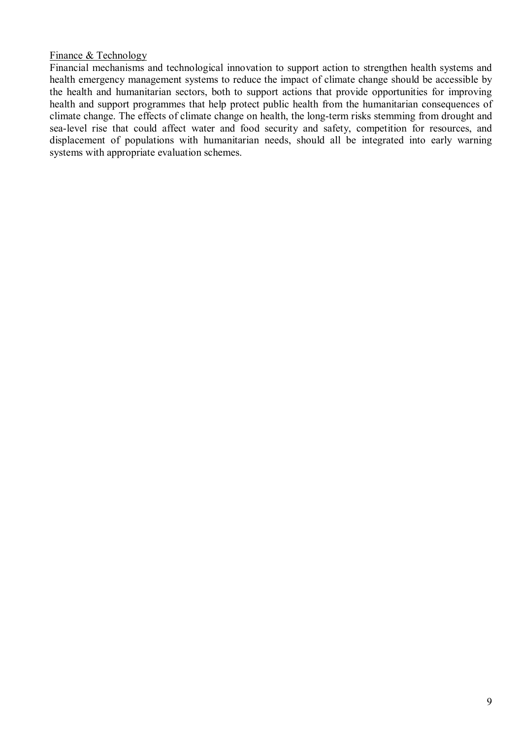#### Finance & Technology

Financial mechanisms and technological innovation to support action to strengthen health systems and health emergency management systems to reduce the impact of climate change should be accessible by the health and humanitarian sectors, both to support actions that provide opportunities for improving health and support programmes that help protect public health from the humanitarian consequences of climate change. The effects of climate change on health, the long-term risks stemming from drought and sea-level rise that could affect water and food security and safety, competition for resources, and displacement of populations with humanitarian needs, should all be integrated into early warning systems with appropriate evaluation schemes.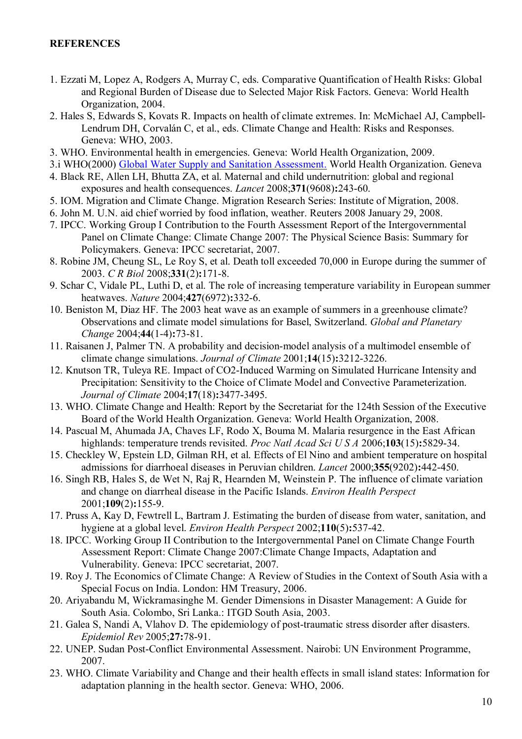### **REFERENCES**

- 1. Ezzati M, Lopez A, Rodgers A, Murray C, eds. Comparative Quantification of Health Risks: Global and Regional Burden of Disease due to Selected Major Risk Factors. Geneva: World Health Organization, 2004.
- 2. Hales S, Edwards S, Kovats R. Impacts on health of climate extremes. In: McMichael AJ, Campbell-Lendrum DH, Corvalán C, et al., eds. Climate Change and Health: Risks and Responses. Geneva: WHO, 2003.
- 3. WHO. Environmental health in emergencies. Geneva: World Health Organization, 2009.
- 3.i WHO(2000) Global Water Supply and Sanitation Assessment. World Health Organization. Geneva
- 4. Black RE, Allen LH, Bhutta ZA, et al. Maternal and child undernutrition: global and regional exposures and health consequences. *Lancet* 2008;**371**(9608)**:**243-60.
- 5. IOM. Migration and Climate Change. Migration Research Series: Institute of Migration, 2008.
- 6. John M. U.N. aid chief worried by food inflation, weather. Reuters 2008 January 29, 2008.
- 7. IPCC. Working Group I Contribution to the Fourth Assessment Report of the Intergovernmental Panel on Climate Change: Climate Change 2007: The Physical Science Basis: Summary for Policymakers. Geneva: IPCC secretariat, 2007.
- 8. Robine JM, Cheung SL, Le Roy S, et al. Death toll exceeded 70,000 in Europe during the summer of 2003. *C R Biol* 2008;**331**(2)**:**171-8.
- 9. Schar C, Vidale PL, Luthi D, et al. The role of increasing temperature variability in European summer heatwaves. *Nature* 2004;**427**(6972)**:**332-6.
- 10. Beniston M, Diaz HF. The 2003 heat wave as an example of summers in a greenhouse climate? Observations and climate model simulations for Basel, Switzerland. *Global and Planetary Change* 2004;**44**(1-4)**:**73-81.
- 11. Raisanen J, Palmer TN. A probability and decision-model analysis of a multimodel ensemble of climate change simulations. *Journal of Climate* 2001;**14**(15)**:**3212-3226.
- 12. Knutson TR, Tuleya RE. Impact of CO2-Induced Warming on Simulated Hurricane Intensity and Precipitation: Sensitivity to the Choice of Climate Model and Convective Parameterization. *Journal of Climate* 2004;**17**(18)**:**3477-3495.
- 13. WHO. Climate Change and Health: Report by the Secretariat for the 124th Session of the Executive Board of the World Health Organization. Geneva: World Health Organization, 2008.
- 14. Pascual M, Ahumada JA, Chaves LF, Rodo X, Bouma M. Malaria resurgence in the East African highlands: temperature trends revisited. *Proc Natl Acad Sci U S A* 2006;**103**(15)**:**5829-34.
- 15. Checkley W, Epstein LD, Gilman RH, et al. Effects of El Nino and ambient temperature on hospital admissions for diarrhoeal diseases in Peruvian children. *Lancet* 2000;**355**(9202)**:**442-450.
- 16. Singh RB, Hales S, de Wet N, Raj R, Hearnden M, Weinstein P. The influence of climate variation and change on diarrheal disease in the Pacific Islands. *Environ Health Perspect* 2001;**109**(2)**:**155-9.
- 17. Pruss A, Kay D, Fewtrell L, Bartram J. Estimating the burden of disease from water, sanitation, and hygiene at a global level. *Environ Health Perspect* 2002;**110**(5)**:**537-42.
- 18. IPCC. Working Group II Contribution to the Intergovernmental Panel on Climate Change Fourth Assessment Report: Climate Change 2007:Climate Change Impacts, Adaptation and Vulnerability. Geneva: IPCC secretariat, 2007.
- 19. Roy J. The Economics of Climate Change: A Review of Studies in the Context of South Asia with a Special Focus on India. London: HM Treasury, 2006.
- 20. Ariyabandu M, Wickramasinghe M. Gender Dimensions in Disaster Management: A Guide for South Asia. Colombo, Sri Lanka.: ITGD South Asia, 2003.
- 21. Galea S, Nandi A, Vlahov D. The epidemiology of post-traumatic stress disorder after disasters. *Epidemiol Rev* 2005;**27:**78-91.
- 22. UNEP. Sudan Post-Conflict Environmental Assessment. Nairobi: UN Environment Programme, 2007.
- 23. WHO. Climate Variability and Change and their health effects in small island states: Information for adaptation planning in the health sector. Geneva: WHO, 2006.